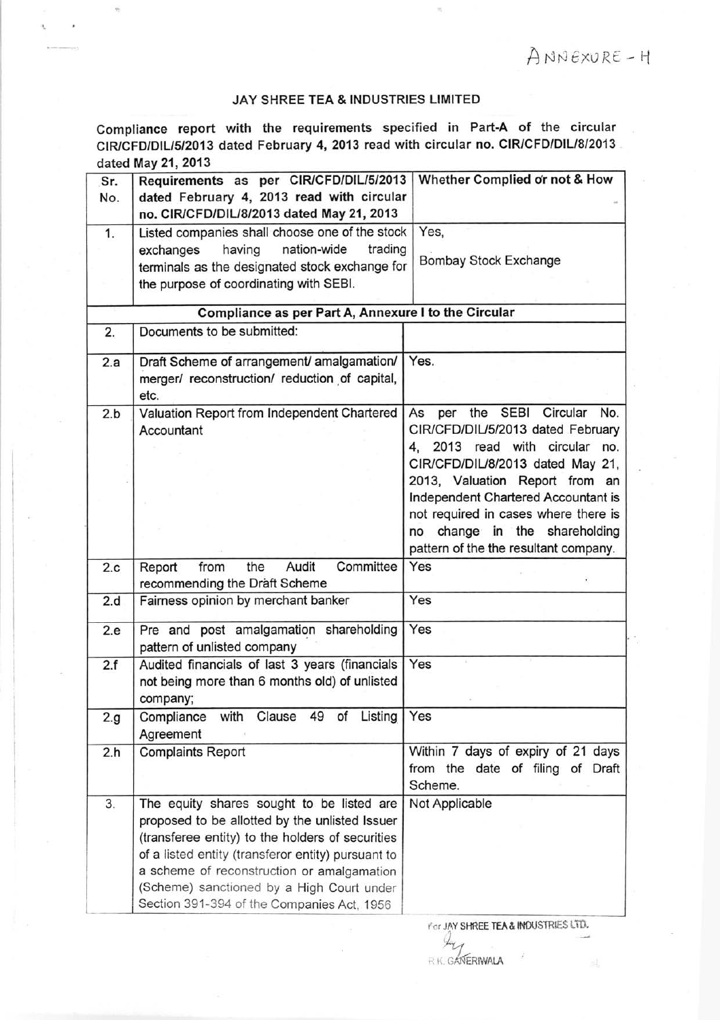## JAY SHREE TEA & INDUSTRIES LIMITED

Compliance report with the requirements specified in Part-A of the circular CIR/CFD/DIL/5/2013 dated February 4, 2013 read with circular no. CIR/CFD/DIL/8/2013 dated May 21, 2013

| Sr.                                                  | Requirements as per CIR/CFD/DIL/5/2013                    | Whether Complied or not & How                                                 |
|------------------------------------------------------|-----------------------------------------------------------|-------------------------------------------------------------------------------|
| No.                                                  | dated February 4, 2013 read with circular                 |                                                                               |
|                                                      | no. CIR/CFD/DIL/8/2013 dated May 21, 2013                 |                                                                               |
| 1.                                                   | Listed companies shall choose one of the stock            | Yes,                                                                          |
|                                                      | nation-wide<br>trading<br>having<br>exchanges             |                                                                               |
|                                                      | terminals as the designated stock exchange for            | <b>Bombay Stock Exchange</b>                                                  |
|                                                      | the purpose of coordinating with SEBI.                    |                                                                               |
| Compliance as per Part A, Annexure I to the Circular |                                                           |                                                                               |
| 2.                                                   | Documents to be submitted:                                |                                                                               |
|                                                      |                                                           |                                                                               |
| 2.a                                                  | Draft Scheme of arrangement/ amalgamation/                | Yes.                                                                          |
|                                                      | merger/ reconstruction/ reduction of capital,             |                                                                               |
|                                                      | etc.                                                      |                                                                               |
| 2.b                                                  | Valuation Report from Independent Chartered<br>Accountant | the SEBI<br>Circular<br>No.<br>As<br>per<br>CIR/CFD/DIL/5/2013 dated February |
|                                                      |                                                           | 4, 2013 read with circular no.                                                |
|                                                      |                                                           | CIR/CFD/DIL/8/2013 dated May 21,                                              |
|                                                      |                                                           | 2013, Valuation Report from an                                                |
|                                                      |                                                           | Independent Chartered Accountant is                                           |
|                                                      |                                                           | not required in cases where there is                                          |
|                                                      |                                                           | no change in the shareholding                                                 |
|                                                      |                                                           | pattern of the the resultant company.                                         |
| 2.c                                                  | Committee<br>the<br>Audit<br>from<br>Report               | Yes                                                                           |
|                                                      | recommending the Draft Scheme                             |                                                                               |
| 2.d                                                  | Fairness opinion by merchant banker                       | Yes                                                                           |
| 2.e                                                  | Pre and post amalgamation shareholding                    | Yes                                                                           |
|                                                      | pattern of unlisted company                               |                                                                               |
| 2.f                                                  | Audited financials of last 3 years (financials            | Yes                                                                           |
|                                                      | not being more than 6 months old) of unlisted             |                                                                               |
|                                                      | company;                                                  |                                                                               |
| 2.g                                                  | Compliance with Clause 49 of Listing                      | Yes                                                                           |
|                                                      | Agreement                                                 |                                                                               |
| 2.h                                                  | <b>Complaints Report</b>                                  | Within 7 days of expiry of 21 days                                            |
|                                                      |                                                           | from the date of filing of Draft                                              |
|                                                      |                                                           | Scheme.                                                                       |
| 3.                                                   | The equity shares sought to be listed are                 | Not Applicable                                                                |
|                                                      | proposed to be allotted by the unlisted Issuer            |                                                                               |
|                                                      | (transferee entity) to the holders of securities          |                                                                               |
|                                                      | of a listed entity (transferor entity) pursuant to        |                                                                               |
|                                                      | a scheme of reconstruction or amalgamation                |                                                                               |
|                                                      | (Scheme) sanctioned by a High Court under                 |                                                                               |
|                                                      | Section 391-394 of the Companies Act, 1956                |                                                                               |

For JAY SHREE TEA & INDUSTRIES LTD.

,l7Lj R.K. GANERIWALA